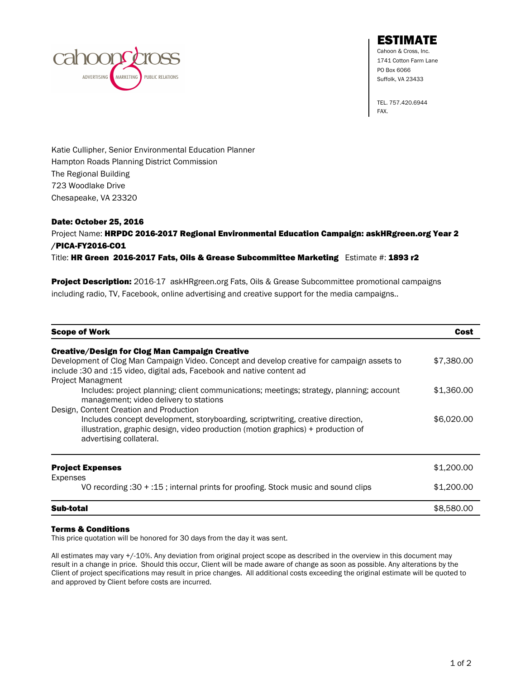

ESTIMATE

Cahoon & Cross, Inc. 1741 Cotton Farm Lane PO Box 6066 Suffolk, VA 23433

TEL. 757.420.6944 FAX.

Katie Cullipher, Senior Environmental Education Planner Hampton Roads Planning District Commission The Regional Building 723 Woodlake Drive Chesapeake, VA 23320

## Date: October 25, 2016

## Project Name: HRPDC 2016-2017 Regional Environmental Education Campaign: askHRgreen.org Year 2 /PICA-FY2016-CO1

Title: HR Green 2016-2017 Fats, Oils & Grease Subcommittee Marketing Estimate #: 1893 r2

Project Description: 2016-17 askHRgreen.org Fats, Oils & Grease Subcommittee promotional campaigns including radio, TV, Facebook, online advertising and creative support for the media campaigns..

| <b>Scope of Work</b>                                                                                                                                                                                                                                | Cost       |
|-----------------------------------------------------------------------------------------------------------------------------------------------------------------------------------------------------------------------------------------------------|------------|
| <b>Creative/Design for Clog Man Campaign Creative</b><br>Development of Clog Man Campaign Video. Concept and develop creative for campaign assets to<br>include: 30 and: 15 video, digital ads, Facebook and native content ad<br>Project Managment | \$7,380.00 |
| Includes: project planning; client communications; meetings; strategy, planning; account<br>management; video delivery to stations                                                                                                                  | \$1,360.00 |
| Design, Content Creation and Production<br>Includes concept development, storyboarding, scriptwriting, creative direction,<br>illustration, graphic design, video production (motion graphics) + production of<br>advertising collateral.           | \$6,020.00 |
| <b>Project Expenses</b><br>Expenses                                                                                                                                                                                                                 | \$1,200,00 |
| VO recording :30 + :15 ; internal prints for proofing. Stock music and sound clips                                                                                                                                                                  | \$1,200.00 |
| <b>Sub-total</b>                                                                                                                                                                                                                                    | \$8,580.00 |

## Terms & Conditions

This price quotation will be honored for 30 days from the day it was sent.

All estimates may vary +/-10%. Any deviation from original project scope as described in the overview in this document may result in a change in price. Should this occur, Client will be made aware of change as soon as possible. Any alterations by the Client of project specifications may result in price changes. All additional costs exceeding the original estimate will be quoted to and approved by Client before costs are incurred.